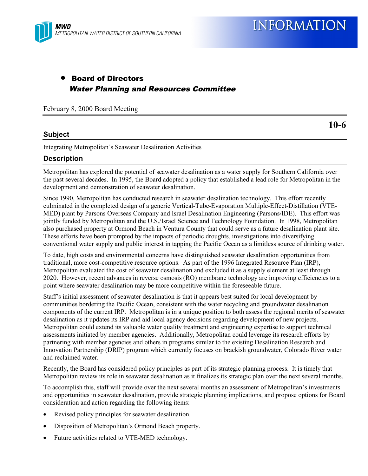**10-6**

# • Board of Directors Water Planning and Resources Committee

February 8, 2000 Board Meeting

### **Subject**

Integrating Metropolitan's Seawater Desalination Activities

## **Description**

Metropolitan has explored the potential of seawater desalination as a water supply for Southern California over the past several decades. In 1995, the Board adopted a policy that established a lead role for Metropolitan in the development and demonstration of seawater desalination.

Since 1990, Metropolitan has conducted research in seawater desalination technology. This effort recently culminated in the completed design of a generic Vertical-Tube-Evaporation Multiple-Effect-Distillation (VTE-MED) plant by Parsons Overseas Company and Israel Desalination Engineering (Parsons/IDE). This effort was jointly funded by Metropolitan and the U.S./Israel Science and Technology Foundation. In 1998, Metropolitan also purchased property at Ormond Beach in Ventura County that could serve as a future desalination plant site. These efforts have been prompted by the impacts of periodic droughts, investigations into diversifying conventional water supply and public interest in tapping the Pacific Ocean as a limitless source of drinking water.

To date, high costs and environmental concerns have distinguished seawater desalination opportunities from traditional, more cost-competitive resource options. As part of the 1996 Integrated Resource Plan (IRP), Metropolitan evaluated the cost of seawater desalination and excluded it as a supply element at least through 2020. However, recent advances in reverse osmosis (RO) membrane technology are improving efficiencies to a point where seawater desalination may be more competitive within the foreseeable future.

Staff's initial assessment of seawater desalination is that it appears best suited for local development by communities bordering the Pacific Ocean, consistent with the water recycling and groundwater desalination components of the current IRP. Metropolitan is in a unique position to both assess the regional merits of seawater desalination as it updates its IRP and aid local agency decisions regarding development of new projects. Metropolitan could extend its valuable water quality treatment and engineering expertise to support technical assessments initiated by member agencies. Additionally, Metropolitan could leverage its research efforts by partnering with member agencies and others in programs similar to the existing Desalination Research and Innovation Partnership (DRIP) program which currently focuses on brackish groundwater, Colorado River water and reclaimed water.

Recently, the Board has considered policy principles as part of its strategic planning process. It is timely that Metropolitan review its role in seawater desalination as it finalizes its strategic plan over the next several months.

To accomplish this, staff will provide over the next several months an assessment of Metropolitan's investments and opportunities in seawater desalination, provide strategic planning implications, and propose options for Board consideration and action regarding the following items:

- Revised policy principles for seawater desalination.
- Disposition of Metropolitan's Ormond Beach property.
- Future activities related to VTE-MED technology.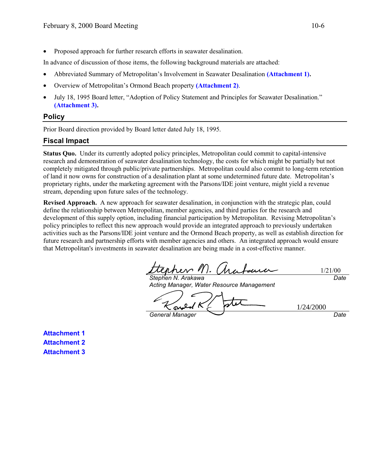• Proposed approach for further research efforts in seawater desalination.

In advance of discussion of those items, the following background materials are attached:

- Abbreviated Summary of Metropolitan's Involvement in Seawater Desalination **(Attachment 1).**
- Overview of Metropolitan's Ormond Beach property **(Attachment 2)**.
- July 18, 1995 Board letter, "Adoption of Policy Statement and Principles for Seawater Desalination." **(Attachment 3).**

#### **Policy**

Prior Board direction provided by Board letter dated July 18, 1995.

### **Fiscal Impact**

**Status Quo.** Under its currently adopted policy principles, Metropolitan could commit to capital-intensive research and demonstration of seawater desalination technology, the costs for which might be partially but not completely mitigated through public/private partnerships. Metropolitan could also commit to long-term retention of land it now owns for construction of a desalination plant at some undetermined future date. Metropolitan's proprietary rights, under the marketing agreement with the Parsons/IDE joint venture, might yield a revenue stream, depending upon future sales of the technology.

**Revised Approach.** A new approach for seawater desalination, in conjunction with the strategic plan, could define the relationship between Metropolitan, member agencies, and third parties for the research and development of this supply option, including financial participation by Metropolitan. Revising Metropolitan's policy principles to reflect this new approach would provide an integrated approach to previously undertaken activities such as the Parsons/IDE joint venture and the Ormond Beach property, as well as establish direction for future research and partnership efforts with member agencies and others. An integrated approach would ensure that Metropolitan's investments in seawater desalination are being made in a cost-effective manner.

1/21/00 Date

Stephen N. Arakawa Acting Manager, Water Resource Management

1/24/2000

General Manager  $\qquad \qquad$ Date

**Attachment 1 Attachment 2 Attachment 3**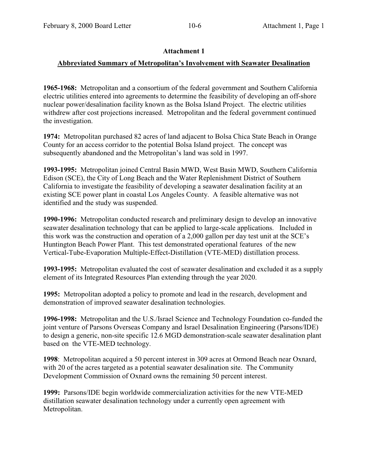# **Attachment 1**

## **Abbreviated Summary of Metropolitan's Involvement with Seawater Desalination**

**1965-1968:** Metropolitan and a consortium of the federal government and Southern California electric utilities entered into agreements to determine the feasibility of developing an off-shore nuclear power/desalination facility known as the Bolsa Island Project. The electric utilities withdrew after cost projections increased. Metropolitan and the federal government continued the investigation.

**1974:** Metropolitan purchased 82 acres of land adjacent to Bolsa Chica State Beach in Orange County for an access corridor to the potential Bolsa Island project. The concept was subsequently abandoned and the Metropolitan's land was sold in 1997.

**1993-1995:** Metropolitan joined Central Basin MWD, West Basin MWD, Southern California Edison (SCE), the City of Long Beach and the Water Replenishment District of Southern California to investigate the feasibility of developing a seawater desalination facility at an existing SCE power plant in coastal Los Angeles County. A feasible alternative was not identified and the study was suspended.

**1990-1996:** Metropolitan conducted research and preliminary design to develop an innovative seawater desalination technology that can be applied to large-scale applications. Included in this work was the construction and operation of a 2,000 gallon per day test unit at the SCE's Huntington Beach Power Plant. This test demonstrated operational features of the new Vertical-Tube-Evaporation Multiple-Effect-Distillation (VTE-MED) distillation process.

**1993-1995:** Metropolitan evaluated the cost of seawater desalination and excluded it as a supply element of its Integrated Resources Plan extending through the year 2020.

**1995:** Metropolitan adopted a policy to promote and lead in the research, development and demonstration of improved seawater desalination technologies.

**1996-1998:** Metropolitan and the U.S./Israel Science and Technology Foundation co-funded the joint venture of Parsons Overseas Company and Israel Desalination Engineering (Parsons/IDE) to design a generic, non-site specific 12.6 MGD demonstration-scale seawater desalination plant based on the VTE-MED technology.

**1998**: Metropolitan acquired a 50 percent interest in 309 acres at Ormond Beach near Oxnard, with 20 of the acres targeted as a potential seawater desalination site. The Community Development Commission of Oxnard owns the remaining 50 percent interest.

**1999:** Parsons/IDE begin worldwide commercialization activities for the new VTE-MED distillation seawater desalination technology under a currently open agreement with Metropolitan.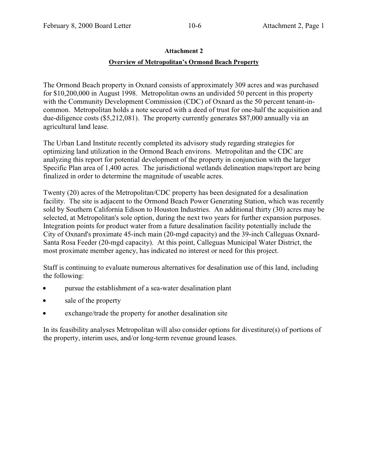#### **Attachment 2**

### **Overview of Metropolitan's Ormond Beach Property**

The Ormond Beach property in Oxnard consists of approximately 309 acres and was purchased for \$10,200,000 in August 1998. Metropolitan owns an undivided 50 percent in this property with the Community Development Commission (CDC) of Oxnard as the 50 percent tenant-incommon. Metropolitan holds a note secured with a deed of trust for one-half the acquisition and due-diligence costs (\$5,212,081). The property currently generates \$87,000 annually via an agricultural land lease.

The Urban Land Institute recently completed its advisory study regarding strategies for optimizing land utilization in the Ormond Beach environs. Metropolitan and the CDC are analyzing this report for potential development of the property in conjunction with the larger Specific Plan area of 1,400 acres. The jurisdictional wetlands delineation maps/report are being finalized in order to determine the magnitude of useable acres.

Twenty (20) acres of the Metropolitan/CDC property has been designated for a desalination facility. The site is adjacent to the Ormond Beach Power Generating Station, which was recently sold by Southern California Edison to Houston Industries. An additional thirty (30) acres may be selected, at Metropolitan's sole option, during the next two years for further expansion purposes. Integration points for product water from a future desalination facility potentially include the City of Oxnard's proximate 45-inch main (20-mgd capacity) and the 39-inch Calleguas Oxnard-Santa Rosa Feeder (20-mgd capacity). At this point, Calleguas Municipal Water District, the most proximate member agency, has indicated no interest or need for this project.

Staff is continuing to evaluate numerous alternatives for desalination use of this land, including the following:

- pursue the establishment of a sea-water desalination plant
- sale of the property
- exchange/trade the property for another desalination site

In its feasibility analyses Metropolitan will also consider options for divestiture(s) of portions of the property, interim uses, and/or long-term revenue ground leases.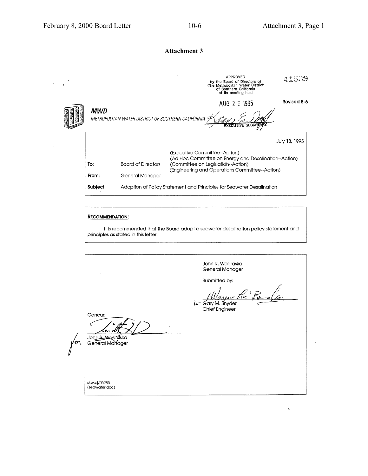$\hat{\boldsymbol{\lambda}}$  $\Delta$ 

Ä,

### **Attachment 3**

|                                                                                                                        |                                                                       | APPROVED<br>by the Board of Directors of<br>The Metropolitan Water District<br>of Southern California<br>at its meeting held | 41539         |  |
|------------------------------------------------------------------------------------------------------------------------|-----------------------------------------------------------------------|------------------------------------------------------------------------------------------------------------------------------|---------------|--|
| Revised 8-6<br>AUG 2 2 1995<br>MWD<br>METROPOLITAN WATER DISTRICT OF SOUTHERN CALIFORNIA<br><b>EXECUTIVE SECRETARY</b> |                                                                       |                                                                                                                              |               |  |
|                                                                                                                        |                                                                       | (Executive Committee--Action)<br>(Ad Hoc Committee on Energy and Desalination--Action)                                       | July 18, 1995 |  |
| To:                                                                                                                    | <b>Board of Directors</b>                                             | (Committee on Legislation--Action)<br>(Engineering and Operations Committee--Action)                                         |               |  |
| From:                                                                                                                  | General Manager                                                       |                                                                                                                              |               |  |
| Subject:                                                                                                               | Adoption of Policy Statement and Principles for Seawater Desalination |                                                                                                                              |               |  |

#### **RECOMMENDATION:**

It is recommended that the Board adopt a seawater desalination policy statement and principles as stated in this letter.

John R. Wodraska<br>General Manager Submitted by: Gary M. Snyder<br>Chief Engineer  $\hat{1}a^{\prime}$ سم Concur:  $\subset$ John R. Wedraska Ή skw:aj/06285<br>(seawater.doc)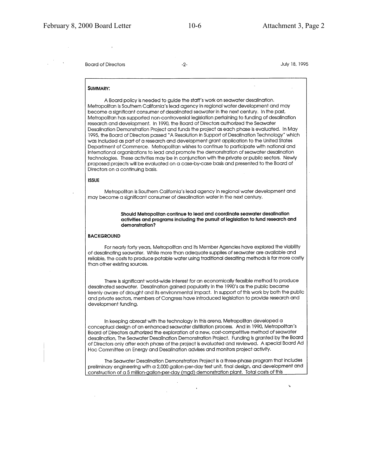**Board of Directors** 

 $\mathbf{r}$  .

 $-2-$ 

July 18, 1995

#### **SUMMARY:**

A Board policy is needed to auide the staff's work on seawater desalination. Metropolitan is Southern California's lead agency in regional water development and may become a significant consumer of desalinated seawater in the next century. In the past, Metropolitan has supported non-controversial leaislation pertaining to funding of desalination research and development. In 1990, the Board of Directors authorized the Seawater Desalination Demonstration Project and funds the project as each phase is evaluated. In May 1995, the Board of Directors passed "A Resolution in Support of Desalination Technology" which was included as part of a research and development grant application to the United States Department of Commerce. Metropolitan wishes to continue to participate with national and international organizations to lead and promote the demonstration of seawater desalination technologies. These activities may be in conjunction with the private or public sectors. Newly proposed projects will be evaluated on a case-by-case basis and presented to the Board of Directors on a continuing basis.

#### **ISSUE**

Metropolitan is Southern California's lead agency in regional water development and may become a significant consumer of desalination water in the next century.

> Should Metropolitan continue to lead and coordinate seawater desalination activities and programs including the pursuit of legislation to fund research and demonstration?

#### **BACKGROUND**

For nearly forty years, Metropolitan and its Member Agencies have explored the viability of desalinating seawater. While more than adequate supplies of seawater are available and reliable, the costs to produce potable water using traditional desalting methods is far more costly than other existing sources.

There is significant world-wide interest for an economically feasible method to produce desalinated seawater. Desalination gained popularity in the 1990's as the public became keenly aware of drought and its environmental impact. In support of this work by both the public and private sectors, members of Congress have introduced legislation to provide research and development funding.

In keeping abreast with the technology in this arena, Metropolitan developed a conceptual design of an enhanced seawater distillation process. And in 1990, Metropolitan's Board of Directors authorized the exploration of a new, cost-competitive method of seawater desalination, The Seawater Desalination Demonstration Project. Funding is granted by the Board of Directors only after each phase of the project is evaluated and reviewed. A special Board Ad Hoc Committee on Energy and Desalination advises and monitors project activity.

The Seawater Desalination Demonstration Project is a three-phase program that includes preliminary engineering with a 2,000 gallon-per-day test unit, final design, and development and construction of a 5 million-gallon-per-day (mgd) demonstration plant. Total costs of this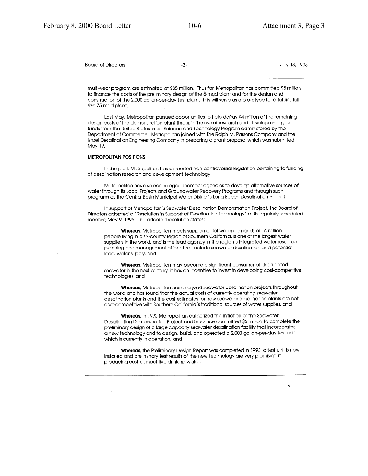**Board of Directors** 

 $\alpha$  .

 $-3-$ 

July 18, 1995

multi-year program are estimated at \$35 million. Thus far, Metropolitan has committed \$5 million to finance the costs of the preliminary design of the 5-mgd plant and for the design and construction of the 2,000 gallon-per-day test plant. This will serve as a prototype for a future, fullsize 75 mgd plant.

Last May, Metropolitan pursued opportunities to help defray \$4 million of the remaining design costs of the demonstration plant through the use of research and development grant funds from the United States-Israel Science and Technology Program administered by the Department of Commerce. Metropolitan joined with the Ralph M. Parsons Company and the Israel Desalination Engineering Company in preparing a grant proposal which was submitted May 19.

#### **METROPOLITAN POSITIONS**

In the past, Metropolitan has supported non-controversial legislation pertaining to funding of desalination research and development technology.

Metropolitan has also encouraged member agencies to develop alternative sources of water through its Local Projects and Groundwater Recovery Programs and through such programs as the Central Basin Municipal Water District's Long Beach Desalination Project.

In support of Metropolitan's Seawater Desalination Demonstration Project, the Board of Directors adopted a "Resolution in Support of Desalination Technology" at its regularly scheduled meeting May 9, 1995. The adopted resolution states:

Whereas, Metropolitan meets supplemental water demands of 16 million people living in a six-county region of Southern California, is one of the largest water suppliers in the world, and is the lead agency in the region's integrated water resource planning and management efforts that include seawater desalination as a potential local water supply, and

Whereas, Metropolitan may become a significant consumer of desalinated seawater in the next century, it has an incentive to invest in developing cost-competitive technologies, and

Whereas, Metropolitan has analyzed seawater desalination projects throughout the world and has found that the actual costs of currently operating seawater desalination plants and the cost estimates for new seawater desalination plants are not cost-competitive with Southern California's traditional sources of water supplies, and

Whereas, in 1990 Metropolitan authorized the initiation of the Seawater Desalination Demonstration Project and has since committed \$5 million to complete the preliminary design of a large capacity seawater desalination facility that incorporates a new technology and to design, build, and operated a 2,000 gallon-per-day test unit which is currently in operation, and

Whereas, the Preliminary Design Report was completed in 1993, a test unit is now installed and preliminary test results of the new technology are very promising in producing cost-competitive drinking water,